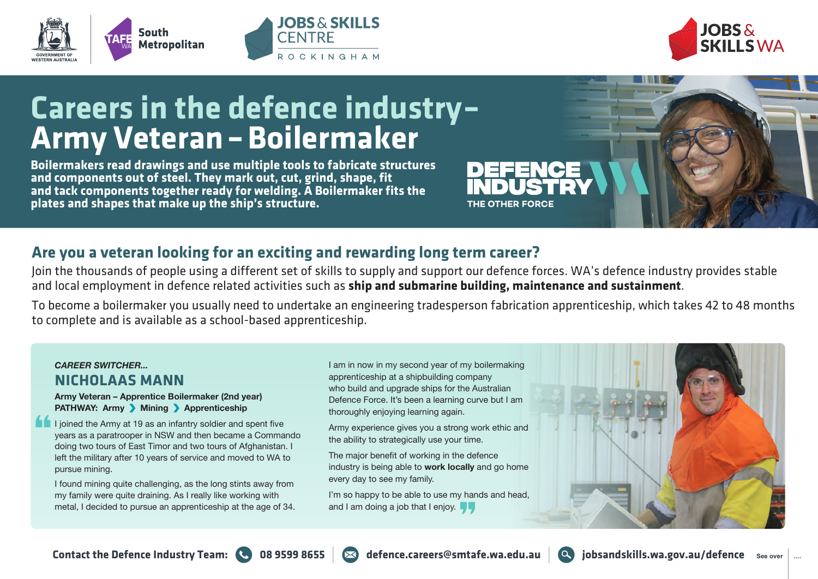





# **Careers in the defence industry– Army Veteran – Boilermaker**

**Boilermakers read drawings and use multiple tools to fabricate structures and components out of steel. They mark out, cut, grind, shape, fit and tack components together ready for welding. A Boilermaker fits the plates and shapes that make up the ship's structure.** 

## **Are you a veteran looking for an exciting and rewarding long term career?**

Join the thousands of people using a different set of skills to supply and support our defence forces. WA's defence industry provides stable and local employment in defence related activities such as **ship and submarine building, maintenance and sustainment**.

To become a boilermaker you usually need to undertake an engineering tradesperson fabrication apprenticeship, which takes 42 to 48 months to complete and is available as a school-based apprenticeship.

#### *CAREER SWITCHER...* **NICHOLAAS MANN**

**Army Veteran – Apprentice Boilermaker (2nd year) PATHWAY: Army Mining Apprenticeship** 

I joined the Army at 19 as an infantry soldier and spent five years as a paratrooper in NSW and then became a Commando doing two tours of East Timor and two tours of Afghanistan. I left the military after 10 years of service and moved to WA to pursue mining.

I found mining quite challenging, as the long stints away from my family were quite draining. As I really like working with metal, I decided to pursue an apprenticeship at the age of 34.

I am in now in my second year of my boilermaking apprenticeship at a shipbuilding company who build and upgrade ships for the Australian Defence Force. It's been a learning curve but I am thoroughly enjoying learning again.

Army experience gives you a strong work ethic and the ability to strategically use your time.

The major benefit of working in the defence industry is being able to **work locally** and go home every day to see my family.

I'm so happy to be able to use my hands and head. and I am doing a job that I enjoy.  $\blacksquare$ 





THE OTHER FORCE